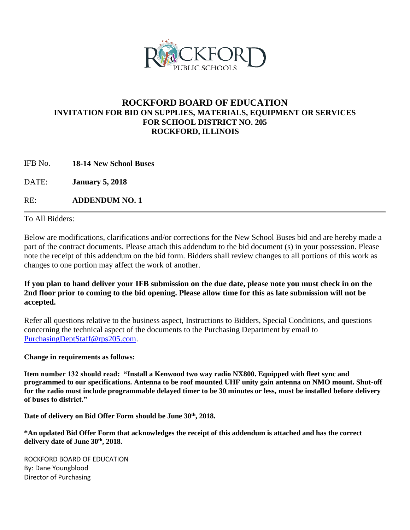

# **ROCKFORD BOARD OF EDUCATION INVITATION FOR BID ON SUPPLIES, MATERIALS, EQUIPMENT OR SERVICES FOR SCHOOL DISTRICT NO. 205 ROCKFORD, ILLINOIS**

IFB No. **18-14 New School Buses**

DATE: **January 5, 2018**

RE: **ADDENDUM NO. 1**

To All Bidders:

Below are modifications, clarifications and/or corrections for the New School Buses bid and are hereby made a part of the contract documents. Please attach this addendum to the bid document (s) in your possession. Please note the receipt of this addendum on the bid form. Bidders shall review changes to all portions of this work as changes to one portion may affect the work of another.

**If you plan to hand deliver your IFB submission on the due date, please note you must check in on the 2nd floor prior to coming to the bid opening. Please allow time for this as late submission will not be accepted.**

Refer all questions relative to the business aspect, Instructions to Bidders, Special Conditions, and questions concerning the technical aspect of the documents to the Purchasing Department by email to [PurchasingDeptStaff@rps205.com.](mailto:PurchasingDeptStaff@rps205.com)

**Change in requirements as follows:**

**Item number 132 should read: "Install a Kenwood two way radio NX800. Equipped with fleet sync and programmed to our specifications. Antenna to be roof mounted UHF unity gain antenna on NMO mount. Shut-off for the radio must include programmable delayed timer to be 30 minutes or less, must be installed before delivery of buses to district."**

**Date of delivery on Bid Offer Form should be June 30th, 2018.**

**\*An updated Bid Offer Form that acknowledges the receipt of this addendum is attached and has the correct delivery date of June 30th, 2018.**

ROCKFORD BOARD OF EDUCATION By: Dane Youngblood Director of Purchasing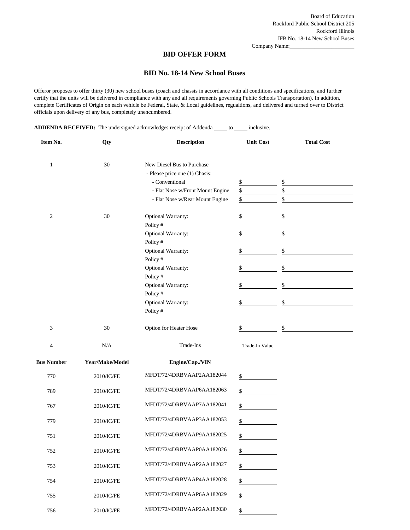Company Name:

#### **BID OFFER FORM**

#### **BID No. 18-14 New School Buses**

Offeror proposes to offer thirty (30) new school buses (coach and chassis in accordance with all conditions and specifications, and further certify that the units will be delivered in compliance with any and all requirements governing Public Schools Transportation). In addition, complete Certificates of Origin on each vehicle be Federal, State, & Local guidelines, regualtions, and delivered and turned over to District officials upon delivery of any bus, completely unencumbered.

**ADDENDA RECEIVED:** The undersigned acknowledges receipt of Addenda \_\_\_\_\_ to \_\_\_\_\_ inclusive.

| Item No.          | <b>Qty</b>      | <b>Description</b>               | <b>Unit Cost</b> | <b>Total Cost</b> |
|-------------------|-----------------|----------------------------------|------------------|-------------------|
| $\mathbf{1}$      | 30              | New Diesel Bus to Purchase       |                  |                   |
|                   |                 | - Please price one (1) Chasis:   |                  |                   |
|                   |                 | - Conventional                   |                  |                   |
|                   |                 |                                  | $\frac{1}{2}$    | \$                |
|                   |                 | - Flat Nose w/Front Mount Engine | \$<br>\$         | \$<br>\$          |
|                   |                 | - Flat Nose w/Rear Mount Engine  |                  |                   |
| $\overline{c}$    | 30              | Optional Warranty:               | \$               | \$                |
|                   |                 | Policy #                         |                  |                   |
|                   |                 | Optional Warranty:               | \$               | \$                |
|                   |                 | Policy #                         |                  |                   |
|                   |                 | Optional Warranty:               | \$               | \$                |
|                   |                 | Policy #                         |                  |                   |
|                   |                 | Optional Warranty:               | \$               | \$                |
|                   |                 | Policy#                          |                  |                   |
|                   |                 | Optional Warranty:               | \$               | \$                |
|                   |                 | Policy #                         |                  |                   |
|                   |                 | Optional Warranty:               |                  | \$                |
|                   |                 |                                  | \$               |                   |
|                   |                 | Policy#                          |                  |                   |
| 3                 | 30              | Option for Heater Hose           | \$               | \$                |
| 4                 | N/A             | Trade-Ins                        | Trade-In Value   |                   |
|                   |                 |                                  |                  |                   |
| <b>Bus Number</b> | Year/Make/Model | Engine/Cap./VIN                  |                  |                   |
| 770               | 2010/IC/FE      | MFDT/72/4DRBVAAP2AA182044        | \$               |                   |
|                   |                 |                                  |                  |                   |
| 789               | 2010/IC/FE      | MFDT/72/4DRBVAAP6AA182063        | \$               |                   |
| 767               | 2010/IC/FE      | MFDT/72/4DRBVAAP7AA182041        | \$               |                   |
|                   |                 |                                  |                  |                   |
| 779               | 2010/IC/FE      | MFDT/72/4DRBVAAP3AA182053        | \$               |                   |
|                   |                 |                                  |                  |                   |
| 751               | 2010/IC/FE      | MFDT/72/4DRBVAAP9AA182025        | \$               |                   |
|                   |                 | MFDT/72/4DRBVAAP0AA182026        |                  |                   |
| 752               | 2010/IC/FE      |                                  | \$               |                   |
| 753               | 2010/IC/FE      | MFDT/72/4DRBVAAP2AA182027        | $\mathbb{S}$     |                   |
|                   |                 |                                  |                  |                   |
| 754               | 2010/IC/FE      | MFDT/72/4DRBVAAP4AA182028        | \$               |                   |
|                   |                 |                                  |                  |                   |
| 755               | 2010/IC/FE      | MFDT/72/4DRBVAAP6AA182029        | \$               |                   |
| 756               | 2010/IC/FE      | MFDT/72/4DRBVAAP2AA182030        | \$               |                   |
|                   |                 |                                  |                  |                   |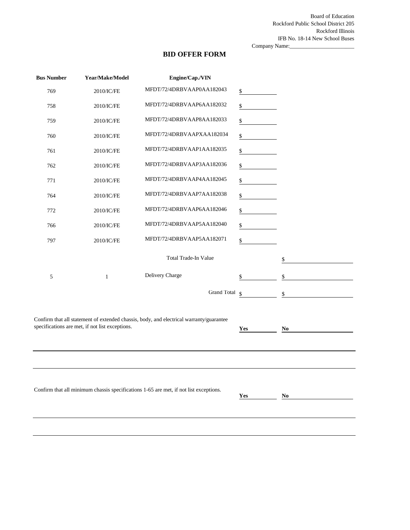Board of Education Rockford Public School District 205 Rockford Illinois IFB No. 18-14 New School Buses

Company Name:\_\_\_\_\_\_\_\_\_\_\_\_\_\_\_\_\_\_\_\_\_\_\_

## **BID OFFER FORM**

| <b>Bus Number</b>                                                                                                                  | Year/Make/Model                                 | Engine/Cap./VIN                                                                         |    |    |  |
|------------------------------------------------------------------------------------------------------------------------------------|-------------------------------------------------|-----------------------------------------------------------------------------------------|----|----|--|
| 769                                                                                                                                | 2010/IC/FE                                      | MFDT/72/4DRBVAAP0AA182043                                                               | \$ |    |  |
| 758                                                                                                                                | 2010/IC/FE                                      | MFDT/72/4DRBVAAP6AA182032                                                               | \$ |    |  |
| 759                                                                                                                                | 2010/IC/FE                                      | MFDT/72/4DRBVAAP8AA182033                                                               | \$ |    |  |
| 760                                                                                                                                | 2010/IC/FE                                      | MFDT/72/4DRBVAAPXAA182034                                                               | \$ |    |  |
| 761                                                                                                                                | 2010/IC/FE                                      | MFDT/72/4DRBVAAP1AA182035                                                               | \$ |    |  |
| 762                                                                                                                                | 2010/IC/FE                                      | MFDT/72/4DRBVAAP3AA182036                                                               | \$ |    |  |
| 771                                                                                                                                | 2010/IC/FE                                      | MFDT/72/4DRBVAAP4AA182045                                                               | \$ |    |  |
| 764                                                                                                                                | 2010/IC/FE                                      | MFDT/72/4DRBVAAP7AA182038                                                               | \$ |    |  |
| 772                                                                                                                                | 2010/IC/FE                                      | MFDT/72/4DRBVAAP6AA182046                                                               | \$ |    |  |
| 766                                                                                                                                | 2010/IC/FE                                      | MFDT/72/4DRBVAAP5AA182040                                                               | \$ |    |  |
| 797                                                                                                                                | 2010/IC/FE                                      | MFDT/72/4DRBVAAP5AA182071                                                               | \$ |    |  |
|                                                                                                                                    |                                                 | Total Trade-In Value                                                                    |    | \$ |  |
| 5                                                                                                                                  | $\mathbf{1}$                                    | Delivery Charge                                                                         | \$ | \$ |  |
|                                                                                                                                    |                                                 | Grand Total §                                                                           |    | \$ |  |
|                                                                                                                                    |                                                 |                                                                                         |    |    |  |
|                                                                                                                                    | specifications are met, if not list exceptions. | Confirm that all statement of extended chassis, body, and electrical warranty/guarantee |    |    |  |
|                                                                                                                                    | No                                              |                                                                                         |    |    |  |
|                                                                                                                                    |                                                 |                                                                                         |    |    |  |
|                                                                                                                                    |                                                 |                                                                                         |    |    |  |
|                                                                                                                                    |                                                 |                                                                                         |    |    |  |
| Confirm that all minimum chassis specifications 1-65 are met, if not list exceptions.<br>Yes<br>$\underline{\mathbf{N}\mathbf{o}}$ |                                                 |                                                                                         |    |    |  |
|                                                                                                                                    |                                                 |                                                                                         |    |    |  |
|                                                                                                                                    |                                                 |                                                                                         |    |    |  |
|                                                                                                                                    |                                                 |                                                                                         |    |    |  |